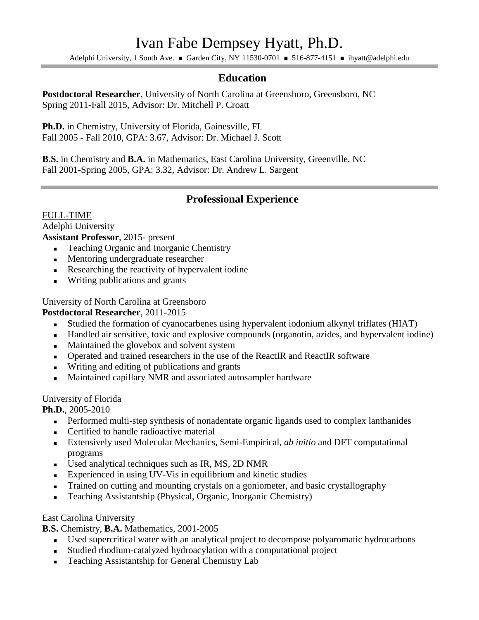# Ivan Fabe Dempsey Hyatt, Ph.D.

Adelphi University, 1 South Ave. Garden City, NY 11530-0701 = 516-877-4151 = ihyatt@adelphi.edu

## **Education**

**Postdoctoral Researcher**, University of North Carolina at Greensboro, Greensboro, NC Spring 2011-Fall 2015, Advisor: Dr. Mitchell P. Croatt

**Ph.D.** in Chemistry, University of Florida, Gainesville, FL Fall 2005 - Fall 2010, GPA: 3.67, Advisor: Dr. Michael J. Scott

**B.S.** in Chemistry and **B.A.** in Mathematics, East Carolina University, Greenville, NC Fall 2001-Spring 2005, GPA: 3.32, Advisor: Dr. Andrew L. Sargent

## **Professional Experience**

#### FULL-TIME Adelphi University **Assistant Professor**, 2015- present

- Teaching Organic and Inorganic Chemistry
- Mentoring undergraduate researcher
- Researching the reactivity of hypervalent iodine
- **Writing publications and grants**

University of North Carolina at Greensboro

## **Postdoctoral Researcher**, 2011-2015

- Studied the formation of cyanocarbenes using hypervalent iodonium alkynyl triflates (HIAT)
- Handled air sensitive, toxic and explosive compounds (organotin, azides, and hypervalent iodine)
- Maintained the glovebox and solvent system
- Operated and trained researchers in the use of the ReactIR and ReactIR software
- Writing and editing of publications and grants
- Maintained capillary NMR and associated autosampler hardware

## University of Florida

**Ph.D.**, 2005-2010

- Performed multi-step synthesis of nonadentate organic ligands used to complex lanthanides
- **Certified to handle radioactive material**
- Extensively used Molecular Mechanics, Semi-Empirical, *ab initio* and DFT computational programs
- Used analytical techniques such as IR, MS, 2D NMR
- Experienced in using UV-Vis in equilibrium and kinetic studies
- Trained on cutting and mounting crystals on a goniometer, and basic crystallography
- Teaching Assistantship (Physical, Organic, Inorganic Chemistry)

## East Carolina University

**B.S.** Chemistry, **B.A.** Mathematics, 2001-2005

- Used supercritical water with an analytical project to decompose polyaromatic hydrocarbons
- Studied rhodium-catalyzed hydroacylation with a computational project
- **Teaching Assistantship for General Chemistry Lab**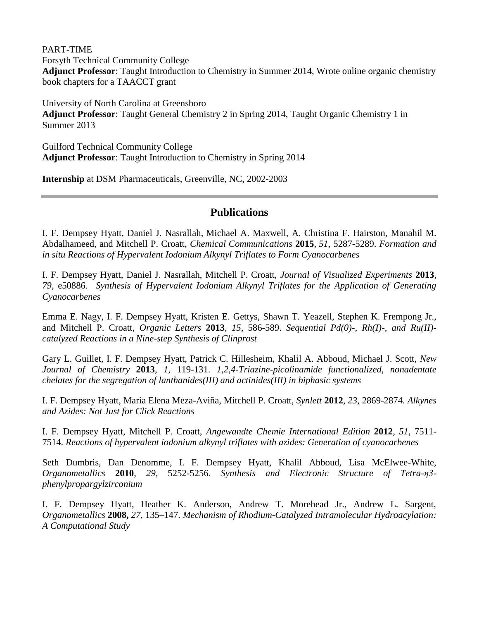PART-TIME

Forsyth Technical Community College **Adjunct Professor**: Taught Introduction to Chemistry in Summer 2014, Wrote online organic chemistry book chapters for a TAACCT grant

University of North Carolina at Greensboro **Adjunct Professor**: Taught General Chemistry 2 in Spring 2014, Taught Organic Chemistry 1 in Summer 2013

Guilford Technical Community College **Adjunct Professor**: Taught Introduction to Chemistry in Spring 2014

**Internship** at DSM Pharmaceuticals, Greenville, NC, 2002-2003

## **Publications**

I. F. Dempsey Hyatt, Daniel J. Nasrallah, Michael A. Maxwell, A. Christina F. Hairston, Manahil M. Abdalhameed, and Mitchell P. Croatt, *Chemical Communications* **2015**, *51*, 5287-5289. *Formation and in situ Reactions of Hypervalent Iodonium Alkynyl Triflates to Form Cyanocarbenes*

I. F. Dempsey Hyatt, Daniel J. Nasrallah, Mitchell P. Croatt, *Journal of Visualized Experiments* **2013**, *79*, e50886. *Synthesis of Hypervalent Iodonium Alkynyl Triflates for the Application of Generating Cyanocarbenes*

Emma E. Nagy, I. F. Dempsey Hyatt, Kristen E. Gettys, Shawn T. Yeazell, Stephen K. Frempong Jr., and Mitchell P. Croatt, *Organic Letters* **2013**, *15*, 586-589. *Sequential Pd(0)-, Rh(I)-, and Ru(II) catalyzed Reactions in a Nine-step Synthesis of Clinprost*

Gary L. Guillet, I. F. Dempsey Hyatt, Patrick C. Hillesheim, Khalil A. Abboud, Michael J. Scott, *New Journal of Chemistry* **2013**, *1*, 119-131. *1,2,4-Triazine-picolinamide functionalized, nonadentate chelates for the segregation of lanthanides(III) and actinides(III) in biphasic systems*

I. F. Dempsey Hyatt, Maria Elena Meza-Aviña, Mitchell P. Croatt, *Synlett* **2012**, *23*, 2869-2874*. Alkynes and Azides: Not Just for Click Reactions*

I. F. Dempsey Hyatt, Mitchell P. Croatt, *Angewandte Chemie International Edition* **2012**, *51*, 7511- 7514. *Reactions of hypervalent iodonium alkynyl triflates with azides: Generation of cyanocarbenes*

Seth Dumbris, Dan Denomme, I. F. Dempsey Hyatt, Khalil Abboud, Lisa McElwee-White, *Organometallics* **2010**, *29*, 5252-5256. *Synthesis and Electronic Structure of Tetra-η3 phenylpropargylzirconium*

I. F. Dempsey Hyatt, Heather K. Anderson, Andrew T. Morehead Jr., Andrew L. Sargent, *Organometallics* **2008,** *27,* 135–147. *Mechanism of Rhodium-Catalyzed Intramolecular Hydroacylation: A Computational Study*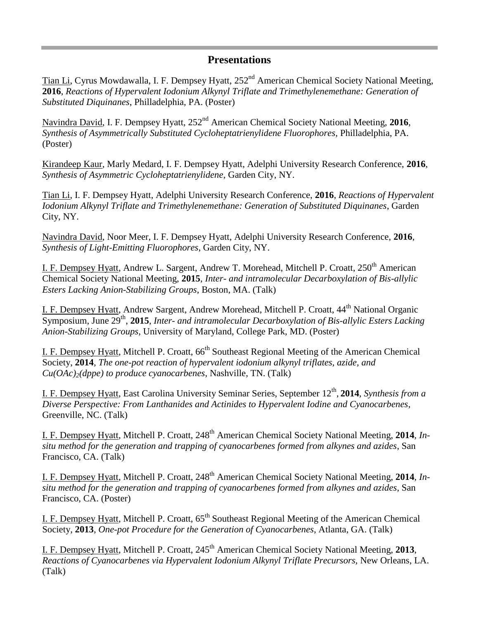## **Presentations**

Tian Li, Cyrus Mowdawalla, I. F. Dempsey Hyatt, 252<sup>nd</sup> American Chemical Society National Meeting, **2016**, *Reactions of Hypervalent Iodonium Alkynyl Triflate and Trimethylenemethane: Generation of Substituted Diquinanes*, Philladelphia, PA. (Poster)

Navindra David, I. F. Dempsey Hyatt, 252<sup>nd</sup> American Chemical Society National Meeting, 2016, *Synthesis of Asymmetrically Substituted Cycloheptatrienylidene Fluorophores*, Philladelphia, PA. (Poster)

Kirandeep Kaur, Marly Medard, I. F. Dempsey Hyatt, Adelphi University Research Conference, **2016**, *Synthesis of Asymmetric Cycloheptatrienylidene*, Garden City, NY.

Tian Li, I. F. Dempsey Hyatt, Adelphi University Research Conference, **2016**, *Reactions of Hypervalent Iodonium Alkynyl Triflate and Trimethylenemethane: Generation of Substituted Diquinanes*, Garden City, NY.

Navindra David, Noor Meer, I. F. Dempsey Hyatt, Adelphi University Research Conference, **2016**, *Synthesis of Light-Emitting Fluorophores*, Garden City, NY.

I. F. Dempsey Hyatt, Andrew L. Sargent, Andrew T. Morehead, Mitchell P. Croatt, 250<sup>th</sup> American Chemical Society National Meeting, **2015**, *Inter- and intramolecular Decarboxylation of Bis-allylic Esters Lacking Anion-Stabilizing Groups*, Boston, MA. (Talk)

I. F. Dempsey Hyatt, Andrew Sargent, Andrew Morehead, Mitchell P. Croatt, 44<sup>th</sup> National Organic Symposium, June 29<sup>th</sup>, 2015, *Inter- and intramolecular Decarboxylation of Bis-allylic Esters Lacking Anion-Stabilizing Groups*, University of Maryland, College Park, MD. (Poster)

I. F. Dempsey Hyatt, Mitchell P. Croatt, 66<sup>th</sup> Southeast Regional Meeting of the American Chemical Society, **2014**, *The one-pot reaction of hypervalent iodonium alkynyl triflates, azide, and Cu(OAc)2(dppe) to produce cyanocarbenes*, Nashville, TN. (Talk)

I. F. Dempsey Hyatt, East Carolina University Seminar Series, September 12<sup>th</sup>, 2014, *Synthesis from a Diverse Perspective: From Lanthanides and Actinides to Hypervalent Iodine and Cyanocarbenes*, Greenville, NC. (Talk)

I. F. Dempsey Hyatt, Mitchell P. Croatt, 248th American Chemical Society National Meeting, **2014**, *Insitu method for the generation and trapping of cyanocarbenes formed from alkynes and azides*, San Francisco, CA. (Talk)

I. F. Dempsey Hyatt, Mitchell P. Croatt, 248th American Chemical Society National Meeting, **2014**, *Insitu method for the generation and trapping of cyanocarbenes formed from alkynes and azides*, San Francisco, CA. (Poster)

I. F. Dempsey Hyatt, Mitchell P. Croatt, 65<sup>th</sup> Southeast Regional Meeting of the American Chemical Society, **2013**, *One-pot Procedure for the Generation of Cyanocarbenes*, Atlanta, GA. (Talk)

I. F. Dempsey Hyatt, Mitchell P. Croatt, 245<sup>th</sup> American Chemical Society National Meeting, 2013, *Reactions of Cyanocarbenes via Hypervalent Iodonium Alkynyl Triflate Precursors,* New Orleans, LA. (Talk)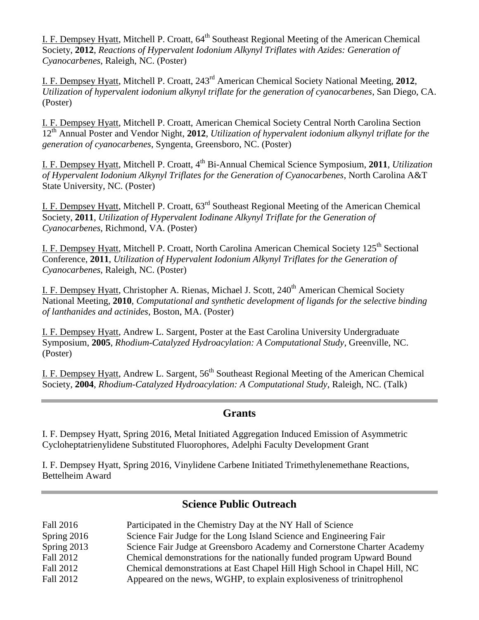I. F. Dempsey Hyatt, Mitchell P. Croatt, 64<sup>th</sup> Southeast Regional Meeting of the American Chemical Society, **2012**, *Reactions of Hypervalent Iodonium Alkynyl Triflates with Azides: Generation of Cyanocarbenes*, Raleigh, NC. (Poster)

I. F. Dempsey Hyatt, Mitchell P. Croatt, 243rd American Chemical Society National Meeting, **2012**, *Utilization of hypervalent iodonium alkynyl triflate for the generation of cyanocarbenes*, San Diego, CA. (Poster)

I. F. Dempsey Hyatt, Mitchell P. Croatt, American Chemical Society Central North Carolina Section 12th Annual Poster and Vendor Night, **2012**, *Utilization of hypervalent iodonium alkynyl triflate for the generation of cyanocarbenes*, Syngenta, Greensboro, NC. (Poster)

I. F. Dempsey Hyatt, Mitchell P. Croatt, 4th Bi-Annual Chemical Science Symposium, **2011**, *Utilization of Hypervalent Iodonium Alkynyl Triflates for the Generation of Cyanocarbenes*, North Carolina A&T State University, NC. (Poster)

I. F. Dempsey Hyatt, Mitchell P. Croatt, 63rd Southeast Regional Meeting of the American Chemical Society, **2011**, *Utilization of Hypervalent Iodinane Alkynyl Triflate for the Generation of Cyanocarbenes*, Richmond, VA. (Poster)

I. F. Dempsey Hyatt, Mitchell P. Croatt, North Carolina American Chemical Society 125<sup>th</sup> Sectional Conference, **2011**, *Utilization of Hypervalent Iodonium Alkynyl Triflates for the Generation of Cyanocarbenes*, Raleigh, NC. (Poster)

I. F. Dempsey Hyatt, Christopher A. Rienas, Michael J. Scott, 240<sup>th</sup> American Chemical Society National Meeting, **2010**, *Computational and synthetic development of ligands for the selective binding of lanthanides and actinides*, Boston, MA. (Poster)

I. F. Dempsey Hyatt, Andrew L. Sargent, Poster at the East Carolina University Undergraduate Symposium, **2005**, *Rhodium-Catalyzed Hydroacylation: A Computational Study*, Greenville, NC. (Poster)

I. F. Dempsey Hyatt, Andrew L. Sargent,  $56<sup>th</sup>$  Southeast Regional Meeting of the American Chemical Society, **2004**, *Rhodium-Catalyzed Hydroacylation: A Computational Study*, Raleigh, NC. (Talk)

## **Grants**

I. F. Dempsey Hyatt, Spring 2016, Metal Initiated Aggregation Induced Emission of Asymmetric Cycloheptatrienylidene Substituted Fluorophores, Adelphi Faculty Development Grant

I. F. Dempsey Hyatt, Spring 2016, Vinylidene Carbene Initiated Trimethylenemethane Reactions, Bettelheim Award

## **Science Public Outreach**

| Fall 2016     | Participated in the Chemistry Day at the NY Hall of Science                |
|---------------|----------------------------------------------------------------------------|
| Spring $2016$ | Science Fair Judge for the Long Island Science and Engineering Fair        |
| Spring 2013   | Science Fair Judge at Greensboro Academy and Cornerstone Charter Academy   |
| Fall 2012     | Chemical demonstrations for the nationally funded program Upward Bound     |
| Fall 2012     | Chemical demonstrations at East Chapel Hill High School in Chapel Hill, NC |
| Fall 2012     | Appeared on the news, WGHP, to explain explosiveness of trinitrophenol     |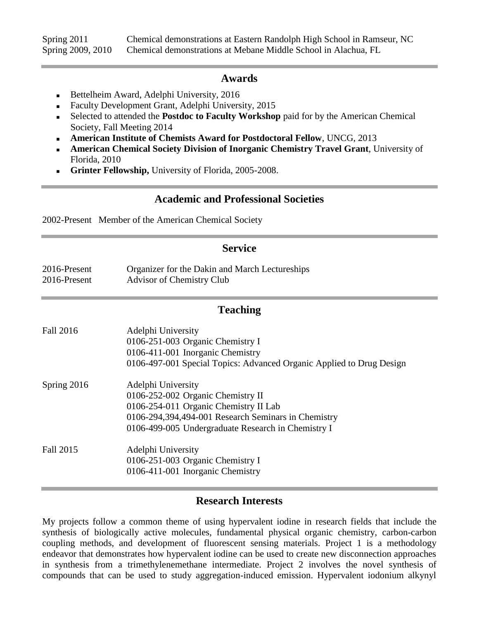Spring 2011 Chemical demonstrations at Eastern Randolph High School in Ramseur, NC Spring 2009, 2010 Chemical demonstrations at Mebane Middle School in Alachua, FL

#### **Awards**

- Bettelheim Award, Adelphi University, 2016
- Faculty Development Grant, Adelphi University, 2015
- Selected to attended the **Postdoc to Faculty Workshop** paid for by the American Chemical Society, Fall Meeting 2014
- **American Institute of Chemists Award for Postdoctoral Fellow**, UNCG, 2013
- **American Chemical Society Division of Inorganic Chemistry Travel Grant**, University of Florida, 2010
- **Grinter Fellowship,** University of Florida, 2005-2008.

## **Academic and Professional Societies**

2002-Present Member of the American Chemical Society

#### **Service**

2016-Present Organizer for the Dakin and March Lectureships 2016-Present Advisor of Chemistry Club

#### **Teaching**

| Fall 2016   | Adelphi University                                                   |
|-------------|----------------------------------------------------------------------|
|             | 0106-251-003 Organic Chemistry I                                     |
|             | 0106-411-001 Inorganic Chemistry                                     |
|             | 0106-497-001 Special Topics: Advanced Organic Applied to Drug Design |
| Spring 2016 | Adelphi University                                                   |
|             | 0106-252-002 Organic Chemistry II                                    |
|             | 0106-254-011 Organic Chemistry II Lab                                |
|             | 0106-294,394,494-001 Research Seminars in Chemistry                  |
|             | 0106-499-005 Undergraduate Research in Chemistry I                   |
| Fall 2015   | Adelphi University                                                   |
|             | 0106-251-003 Organic Chemistry I                                     |
|             | 0106-411-001 Inorganic Chemistry                                     |

# **Research Interests**

My projects follow a common theme of using hypervalent iodine in research fields that include the synthesis of biologically active molecules, fundamental physical organic chemistry, carbon-carbon coupling methods, and development of fluorescent sensing materials. Project 1 is a methodology endeavor that demonstrates how hypervalent iodine can be used to create new disconnection approaches in synthesis from a trimethylenemethane intermediate. Project 2 involves the novel synthesis of compounds that can be used to study aggregation-induced emission. Hypervalent iodonium alkynyl